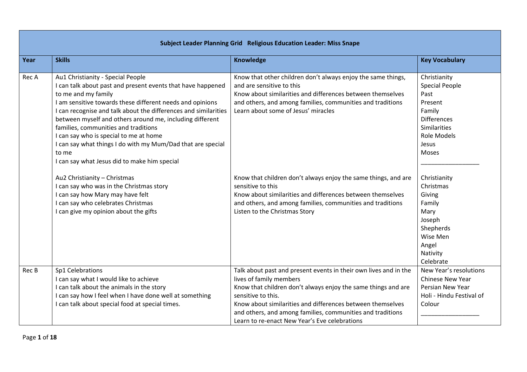| Subject Leader Planning Grid Religious Education Leader: Miss Snape |                                                                                                                                                                                                                                                                                                                                                                                                                                                                                                                               |                                                                                                                                                                                                                                                                                                                                                                 |                                                                                                                                                  |  |
|---------------------------------------------------------------------|-------------------------------------------------------------------------------------------------------------------------------------------------------------------------------------------------------------------------------------------------------------------------------------------------------------------------------------------------------------------------------------------------------------------------------------------------------------------------------------------------------------------------------|-----------------------------------------------------------------------------------------------------------------------------------------------------------------------------------------------------------------------------------------------------------------------------------------------------------------------------------------------------------------|--------------------------------------------------------------------------------------------------------------------------------------------------|--|
| Year                                                                | <b>Skills</b>                                                                                                                                                                                                                                                                                                                                                                                                                                                                                                                 | <b>Knowledge</b>                                                                                                                                                                                                                                                                                                                                                | <b>Key Vocabulary</b>                                                                                                                            |  |
| Rec A                                                               | Au1 Christianity - Special People<br>I can talk about past and present events that have happened<br>to me and my family<br>I am sensitive towards these different needs and opinions<br>I can recognise and talk about the differences and similarities<br>between myself and others around me, including different<br>families, communities and traditions<br>I can say who is special to me at home<br>I can say what things I do with my Mum/Dad that are special<br>to me<br>I can say what Jesus did to make him special | Know that other children don't always enjoy the same things,<br>and are sensitive to this<br>Know about similarities and differences between themselves<br>and others, and among families, communities and traditions<br>Learn about some of Jesus' miracles                                                                                                    | Christianity<br><b>Special People</b><br>Past<br>Present<br>Family<br><b>Differences</b><br><b>Similarities</b><br>Role Models<br>Jesus<br>Moses |  |
|                                                                     | Au2 Christianity - Christmas<br>I can say who was in the Christmas story<br>I can say how Mary may have felt<br>I can say who celebrates Christmas<br>I can give my opinion about the gifts                                                                                                                                                                                                                                                                                                                                   | Know that children don't always enjoy the same things, and are<br>sensitive to this<br>Know about similarities and differences between themselves<br>and others, and among families, communities and traditions<br>Listen to the Christmas Story                                                                                                                | Christianity<br>Christmas<br>Giving<br>Family<br>Mary<br>Joseph<br>Shepherds<br>Wise Men<br>Angel<br>Nativity<br>Celebrate                       |  |
| Rec B                                                               | Sp1 Celebrations<br>I can say what I would like to achieve<br>I can talk about the animals in the story<br>I can say how I feel when I have done well at something<br>I can talk about special food at special times.                                                                                                                                                                                                                                                                                                         | Talk about past and present events in their own lives and in the<br>lives of family members<br>Know that children don't always enjoy the same things and are<br>sensitive to this.<br>Know about similarities and differences between themselves<br>and others, and among families, communities and traditions<br>Learn to re-enact New Year's Eve celebrations | New Year's resolutions<br><b>Chinese New Year</b><br>Persian New Year<br>Holi - Hindu Festival of<br>Colour                                      |  |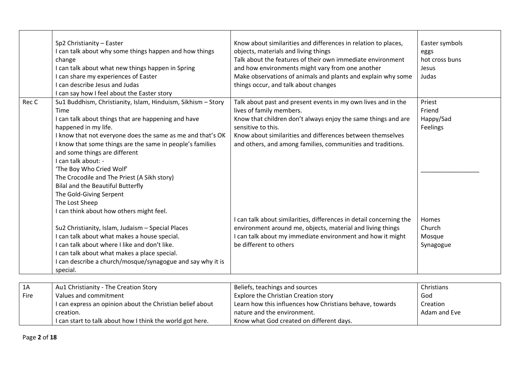|       | Sp2 Christianity - Easter                                    | Know about similarities and differences in relation to places,      | Easter symbols |
|-------|--------------------------------------------------------------|---------------------------------------------------------------------|----------------|
|       | I can talk about why some things happen and how things       | objects, materials and living things                                | eggs           |
|       | change                                                       | Talk about the features of their own immediate environment          | hot cross buns |
|       | I can talk about what new things happen in Spring            | and how environments might vary from one another                    | Jesus          |
|       | I can share my experiences of Easter                         | Make observations of animals and plants and explain why some        | Judas          |
|       | I can describe Jesus and Judas                               | things occur, and talk about changes                                |                |
|       | I can say how I feel about the Easter story                  |                                                                     |                |
| Rec C | Su1 Buddhism, Christianity, Islam, Hinduism, Sikhism - Story | Talk about past and present events in my own lives and in the       | Priest         |
|       | Time                                                         | lives of family members.                                            | Friend         |
|       | I can talk about things that are happening and have          | Know that children don't always enjoy the same things and are       | Happy/Sad      |
|       | happened in my life.                                         | sensitive to this.                                                  | Feelings       |
|       | I know that not everyone does the same as me and that's OK   | Know about similarities and differences between themselves          |                |
|       | I know that some things are the same in people's families    | and others, and among families, communities and traditions.         |                |
|       | and some things are different                                |                                                                     |                |
|       | I can talk about: -                                          |                                                                     |                |
|       | 'The Boy Who Cried Wolf'                                     |                                                                     |                |
|       | The Crocodile and The Priest (A Sikh story)                  |                                                                     |                |
|       | <b>Bilal and the Beautiful Butterfly</b>                     |                                                                     |                |
|       | The Gold-Giving Serpent                                      |                                                                     |                |
|       | The Lost Sheep                                               |                                                                     |                |
|       | I can think about how others might feel.                     |                                                                     |                |
|       |                                                              | I can talk about similarities, differences in detail concerning the | Homes          |
|       | Su2 Christianity, Islam, Judaism - Special Places            | environment around me, objects, material and living things          | Church         |
|       | I can talk about what makes a house special.                 | can talk about my immediate environment and how it might            | Mosque         |
|       | I can talk about where I like and don't like.                | be different to others                                              | Synagogue      |
|       | I can talk about what makes a place special.                 |                                                                     |                |
|       | I can describe a church/mosque/synagogue and say why it is   |                                                                     |                |
|       | special.                                                     |                                                                     |                |
|       |                                                              |                                                                     |                |
| 1A    | Au1 Christianity - The Creation Story                        | Beliefs, teachings and sources                                      | Christians     |
| Fire  | Values and commitment                                        | Explore the Christian Creation story                                | God            |
|       | I can express an opinion about the Christian belief about    | Learn how this influences how Christians behave, towards            | Creation       |
|       | creation.                                                    | nature and the environment.                                         | Adam and Eve   |
|       | I can start to talk about how I think the world got here.    | Know what God created on different days.                            |                |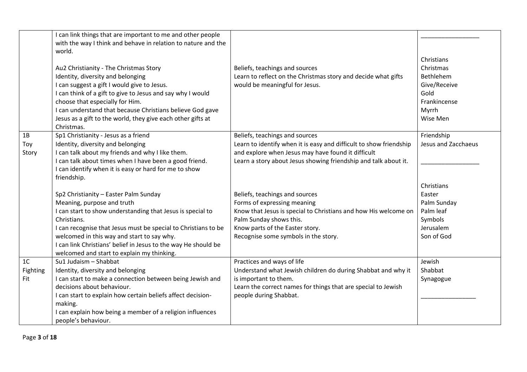|                                   | I can link things that are important to me and other people<br>with the way I think and behave in relation to nature and the<br>world.<br>Au2 Christianity - The Christmas Story<br>Identity, diversity and belonging<br>I can suggest a gift I would give to Jesus.<br>I can think of a gift to give to Jesus and say why I would<br>choose that especially for Him.<br>I can understand that because Christians believe God gave<br>Jesus as a gift to the world, they give each other gifts at<br>Christmas.                                                                                                                                     | Beliefs, teachings and sources<br>Learn to reflect on the Christmas story and decide what gifts<br>would be meaningful for Jesus.                                                                                                                                                                                                                                                                                                                                       | Christians<br>Christmas<br>Bethlehem<br>Give/Receive<br>Gold<br>Frankincense<br>Myrrh<br>Wise Men                           |
|-----------------------------------|-----------------------------------------------------------------------------------------------------------------------------------------------------------------------------------------------------------------------------------------------------------------------------------------------------------------------------------------------------------------------------------------------------------------------------------------------------------------------------------------------------------------------------------------------------------------------------------------------------------------------------------------------------|-------------------------------------------------------------------------------------------------------------------------------------------------------------------------------------------------------------------------------------------------------------------------------------------------------------------------------------------------------------------------------------------------------------------------------------------------------------------------|-----------------------------------------------------------------------------------------------------------------------------|
| 1B<br>Toy<br>Story                | Sp1 Christianity - Jesus as a friend<br>Identity, diversity and belonging<br>I can talk about my friends and why I like them.<br>I can talk about times when I have been a good friend.<br>I can identify when it is easy or hard for me to show<br>friendship.<br>Sp2 Christianity - Easter Palm Sunday<br>Meaning, purpose and truth<br>I can start to show understanding that Jesus is special to<br>Christians.<br>I can recognise that Jesus must be special to Christians to be<br>welcomed in this way and start to say why.<br>I can link Christians' belief in Jesus to the way He should be<br>welcomed and start to explain my thinking. | Beliefs, teachings and sources<br>Learn to identify when it is easy and difficult to show friendship<br>and explore when Jesus may have found it difficult<br>Learn a story about Jesus showing friendship and talk about it.<br>Beliefs, teachings and sources<br>Forms of expressing meaning<br>Know that Jesus is special to Christians and how His welcome on<br>Palm Sunday shows this.<br>Know parts of the Easter story.<br>Recognise some symbols in the story. | Friendship<br>Jesus and Zacchaeus<br>Christians<br>Easter<br>Palm Sunday<br>Palm leaf<br>Symbols<br>Jerusalem<br>Son of God |
| 1 <sup>C</sup><br>Fighting<br>Fit | Su1 Judaism - Shabbat<br>Identity, diversity and belonging<br>I can start to make a connection between being Jewish and<br>decisions about behaviour.<br>I can start to explain how certain beliefs affect decision-<br>making.<br>I can explain how being a member of a religion influences<br>people's behaviour.                                                                                                                                                                                                                                                                                                                                 | Practices and ways of life<br>Understand what Jewish children do during Shabbat and why it<br>is important to them.<br>Learn the correct names for things that are special to Jewish<br>people during Shabbat.                                                                                                                                                                                                                                                          | Jewish<br>Shabbat<br>Synagogue                                                                                              |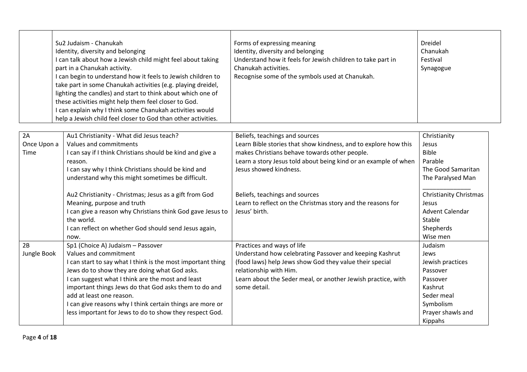|                   | Su2 Judaism - Chanukah<br>Identity, diversity and belonging<br>I can talk about how a Jewish child might feel about taking<br>part in a Chanukah activity.<br>I can begin to understand how it feels to Jewish children to<br>take part in some Chanukah activities (e.g. playing dreidel,<br>lighting the candles) and start to think about which one of<br>these activities might help them feel closer to God.<br>I can explain why I think some Chanukah activities would<br>help a Jewish child feel closer to God than other activities. | Forms of expressing meaning<br>Identity, diversity and belonging<br>Understand how it feels for Jewish children to take part in<br>Chanukah activities.<br>Recognise some of the symbols used at Chanukah. | <b>Dreidel</b><br>Chanukah<br>Festival<br>Synagogue |
|-------------------|------------------------------------------------------------------------------------------------------------------------------------------------------------------------------------------------------------------------------------------------------------------------------------------------------------------------------------------------------------------------------------------------------------------------------------------------------------------------------------------------------------------------------------------------|------------------------------------------------------------------------------------------------------------------------------------------------------------------------------------------------------------|-----------------------------------------------------|
| 2A                |                                                                                                                                                                                                                                                                                                                                                                                                                                                                                                                                                |                                                                                                                                                                                                            |                                                     |
| Once Upon a       | Au1 Christianity - What did Jesus teach?<br>Values and commitments                                                                                                                                                                                                                                                                                                                                                                                                                                                                             | Beliefs, teachings and sources<br>Learn Bible stories that show kindness, and to explore how this                                                                                                          | Christianity<br>Jesus                               |
| Time              | I can say if I think Christians should be kind and give a                                                                                                                                                                                                                                                                                                                                                                                                                                                                                      | makes Christians behave towards other people.                                                                                                                                                              | <b>Bible</b>                                        |
|                   | reason.                                                                                                                                                                                                                                                                                                                                                                                                                                                                                                                                        | Learn a story Jesus told about being kind or an example of when                                                                                                                                            | Parable                                             |
|                   | I can say why I think Christians should be kind and                                                                                                                                                                                                                                                                                                                                                                                                                                                                                            | Jesus showed kindness.                                                                                                                                                                                     | The Good Samaritan                                  |
|                   | understand why this might sometimes be difficult.                                                                                                                                                                                                                                                                                                                                                                                                                                                                                              |                                                                                                                                                                                                            | The Paralysed Man                                   |
|                   | Au2 Christianity - Christmas; Jesus as a gift from God                                                                                                                                                                                                                                                                                                                                                                                                                                                                                         | Beliefs, teachings and sources                                                                                                                                                                             | <b>Christianity Christmas</b>                       |
|                   | Meaning, purpose and truth                                                                                                                                                                                                                                                                                                                                                                                                                                                                                                                     | Learn to reflect on the Christmas story and the reasons for                                                                                                                                                | Jesus                                               |
|                   | I can give a reason why Christians think God gave Jesus to                                                                                                                                                                                                                                                                                                                                                                                                                                                                                     | Jesus' birth.                                                                                                                                                                                              | Advent Calendar                                     |
|                   | the world.                                                                                                                                                                                                                                                                                                                                                                                                                                                                                                                                     |                                                                                                                                                                                                            | Stable                                              |
|                   | I can reflect on whether God should send Jesus again,                                                                                                                                                                                                                                                                                                                                                                                                                                                                                          |                                                                                                                                                                                                            | Shepherds                                           |
|                   | now.                                                                                                                                                                                                                                                                                                                                                                                                                                                                                                                                           |                                                                                                                                                                                                            | Wise men                                            |
| 2B<br>Jungle Book | Sp1 (Choice A) Judaism - Passover<br>Values and commitment                                                                                                                                                                                                                                                                                                                                                                                                                                                                                     | Practices and ways of life<br>Understand how celebrating Passover and keeping Kashrut                                                                                                                      | Judaism<br>Jews                                     |
|                   | I can start to say what I think is the most important thing                                                                                                                                                                                                                                                                                                                                                                                                                                                                                    | (food laws) help Jews show God they value their special                                                                                                                                                    | Jewish practices                                    |
|                   | Jews do to show they are doing what God asks.                                                                                                                                                                                                                                                                                                                                                                                                                                                                                                  | relationship with Him.                                                                                                                                                                                     | Passover                                            |
|                   | I can suggest what I think are the most and least                                                                                                                                                                                                                                                                                                                                                                                                                                                                                              | Learn about the Seder meal, or another Jewish practice, with                                                                                                                                               | Passover                                            |
|                   | important things Jews do that God asks them to do and                                                                                                                                                                                                                                                                                                                                                                                                                                                                                          | some detail.                                                                                                                                                                                               | Kashrut                                             |
|                   | add at least one reason.                                                                                                                                                                                                                                                                                                                                                                                                                                                                                                                       |                                                                                                                                                                                                            | Seder meal                                          |
|                   | I can give reasons why I think certain things are more or                                                                                                                                                                                                                                                                                                                                                                                                                                                                                      |                                                                                                                                                                                                            | Symbolism                                           |
|                   | less important for Jews to do to show they respect God.                                                                                                                                                                                                                                                                                                                                                                                                                                                                                        |                                                                                                                                                                                                            | Prayer shawls and                                   |
|                   |                                                                                                                                                                                                                                                                                                                                                                                                                                                                                                                                                |                                                                                                                                                                                                            | Kippahs                                             |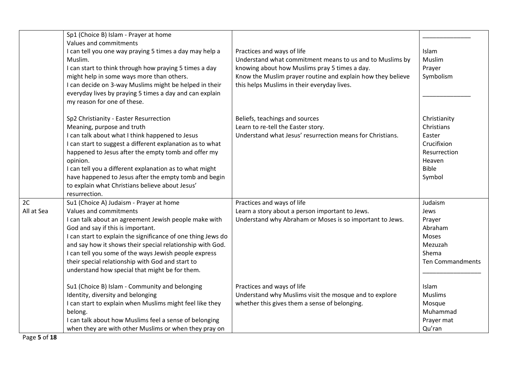|                  | Sp1 (Choice B) Islam - Prayer at home<br>Values and commitments<br>I can tell you one way praying 5 times a day may help a<br>Muslim.<br>I can start to think through how praying 5 times a day<br>might help in some ways more than others.<br>I can decide on 3-way Muslims might be helped in their<br>everyday lives by praying 5 times a day and can explain<br>my reason for one of these.                                                            | Practices and ways of life<br>Understand what commitment means to us and to Muslims by<br>knowing about how Muslims pray 5 times a day.<br>Know the Muslim prayer routine and explain how they believe<br>this helps Muslims in their everyday lives. | Islam<br>Muslim<br>Prayer<br>Symbolism                                                                  |
|------------------|-------------------------------------------------------------------------------------------------------------------------------------------------------------------------------------------------------------------------------------------------------------------------------------------------------------------------------------------------------------------------------------------------------------------------------------------------------------|-------------------------------------------------------------------------------------------------------------------------------------------------------------------------------------------------------------------------------------------------------|---------------------------------------------------------------------------------------------------------|
|                  | Sp2 Christianity - Easter Resurrection<br>Meaning, purpose and truth<br>I can talk about what I think happened to Jesus<br>I can start to suggest a different explanation as to what<br>happened to Jesus after the empty tomb and offer my<br>opinion.<br>I can tell you a different explanation as to what might<br>have happened to Jesus after the empty tomb and begin<br>to explain what Christians believe about Jesus'<br>resurrection.             | Beliefs, teachings and sources<br>Learn to re-tell the Easter story.<br>Understand what Jesus' resurrection means for Christians.                                                                                                                     | Christianity<br>Christians<br>Easter<br>Crucifixion<br>Resurrection<br>Heaven<br><b>Bible</b><br>Symbol |
| 2C<br>All at Sea | Su1 (Choice A) Judaism - Prayer at home<br>Values and commitments<br>I can talk about an agreement Jewish people make with<br>God and say if this is important.<br>I can start to explain the significance of one thing Jews do<br>and say how it shows their special relationship with God.<br>I can tell you some of the ways Jewish people express<br>their special relationship with God and start to<br>understand how special that might be for them. | Practices and ways of life<br>Learn a story about a person important to Jews.<br>Understand why Abraham or Moses is so important to Jews.                                                                                                             | Judaism<br>Jews<br>Prayer<br>Abraham<br>Moses<br>Mezuzah<br>Shema<br><b>Ten Commandments</b>            |
|                  | Su1 (Choice B) Islam - Community and belonging<br>Identity, diversity and belonging<br>I can start to explain when Muslims might feel like they<br>belong.<br>I can talk about how Muslims feel a sense of belonging<br>when they are with other Muslims or when they pray on                                                                                                                                                                               | Practices and ways of life<br>Understand why Muslims visit the mosque and to explore<br>whether this gives them a sense of belonging.                                                                                                                 | Islam<br><b>Muslims</b><br>Mosque<br>Muhammad<br>Prayer mat<br>Qu'ran                                   |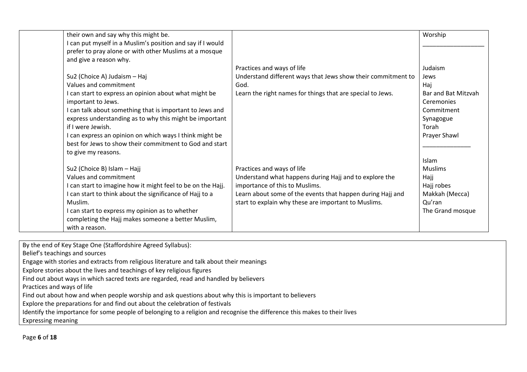| their own and say why this might be.                        |                                                              | Worship             |
|-------------------------------------------------------------|--------------------------------------------------------------|---------------------|
| I can put myself in a Muslim's position and say if I would  |                                                              |                     |
| prefer to pray alone or with other Muslims at a mosque      |                                                              |                     |
| and give a reason why.                                      |                                                              |                     |
|                                                             | Practices and ways of life                                   | Judaism             |
| Su2 (Choice A) Judaism - Haj                                | Understand different ways that Jews show their commitment to | Jews                |
| Values and commitment                                       | God.                                                         | Haj                 |
| I can start to express an opinion about what might be       | Learn the right names for things that are special to Jews.   | Bar and Bat Mitzvah |
| important to Jews.                                          |                                                              | Ceremonies          |
| I can talk about something that is important to Jews and    |                                                              | Commitment          |
| express understanding as to why this might be important     |                                                              | Synagogue           |
| if I were Jewish.                                           |                                                              | Torah               |
| I can express an opinion on which ways I think might be     |                                                              | Prayer Shawl        |
| best for Jews to show their commitment to God and start     |                                                              |                     |
| to give my reasons.                                         |                                                              |                     |
|                                                             |                                                              | Islam               |
| Su2 (Choice B) Islam - Hajj                                 | Practices and ways of life                                   | <b>Muslims</b>      |
| Values and commitment                                       | Understand what happens during Hajj and to explore the       | Hajj                |
| I can start to imagine how it might feel to be on the Hajj. | importance of this to Muslims.                               | Hajj robes          |
| I can start to think about the significance of Hajj to a    | Learn about some of the events that happen during Hajj and   | Makkah (Mecca)      |
| Muslim.                                                     | start to explain why these are important to Muslims.         | Qu'ran              |
| I can start to express my opinion as to whether             |                                                              | The Grand mosque    |
| completing the Hajj makes someone a better Muslim,          |                                                              |                     |
| with a reason.                                              |                                                              |                     |
|                                                             |                                                              |                     |

By the end of Key Stage One (Staffordshire Agreed Syllabus):

Belief's teachings and sources

Engage with stories and extracts from religious literature and talk about their meanings

Explore stories about the lives and teachings of key religious figures

Find out about ways in which sacred texts are regarded, read and handled by believers

Practices and ways of life

Find out about how and when people worship and ask questions about why this is important to believers

Explore the preparations for and find out about the celebration of festivals

Identify the importance for some people of belonging to a religion and recognise the difference this makes to their lives

Expressing meaning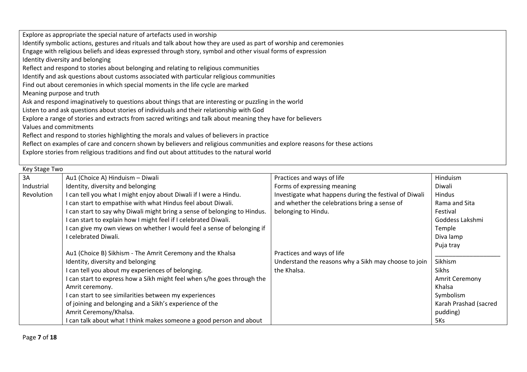| Explore as appropriate the special nature of artefacts used in worship                                                     |
|----------------------------------------------------------------------------------------------------------------------------|
| Identify symbolic actions, gestures and rituals and talk about how they are used as part of worship and ceremonies         |
| Engage with religious beliefs and ideas expressed through story, symbol and other visual forms of expression               |
| Identity diversity and belonging                                                                                           |
| Reflect and respond to stories about belonging and relating to religious communities                                       |
| Identify and ask questions about customs associated with particular religious communities                                  |
| Find out about ceremonies in which special moments in the life cycle are marked                                            |
| Meaning purpose and truth                                                                                                  |
| Ask and respond imaginatively to questions about things that are interesting or puzzling in the world                      |
| Listen to and ask questions about stories of individuals and their relationship with God                                   |
| Explore a range of stories and extracts from sacred writings and talk about meaning they have for believers                |
| Values and commitments                                                                                                     |
| Reflect and respond to stories highlighting the morals and values of believers in practice                                 |
| Reflect on examples of care and concern shown by believers and religious communities and explore reasons for these actions |
| Explore stories from religious traditions and find out about attitudes to the natural world                                |
|                                                                                                                            |

|            | Key Stage Two                                                             |                                                        |                       |  |  |
|------------|---------------------------------------------------------------------------|--------------------------------------------------------|-----------------------|--|--|
| 3A         | Au1 (Choice A) Hinduism - Diwali                                          | Practices and ways of life                             | Hinduism              |  |  |
| Industrial | Identity, diversity and belonging                                         | Forms of expressing meaning                            | Diwali                |  |  |
| Revolution | I can tell you what I might enjoy about Diwali if I were a Hindu.         | Investigate what happens during the festival of Diwali | Hindus                |  |  |
|            | I can start to empathise with what Hindus feel about Diwali.              | and whether the celebrations bring a sense of          | Rama and Sita         |  |  |
|            | I can start to say why Diwali might bring a sense of belonging to Hindus. | belonging to Hindu.                                    | Festival              |  |  |
|            | I can start to explain how I might feel if I celebrated Diwali.           |                                                        | Goddess Lakshmi       |  |  |
|            | I can give my own views on whether I would feel a sense of belonging if   |                                                        | Temple                |  |  |
|            | I celebrated Diwali.                                                      |                                                        | Diva lamp             |  |  |
|            |                                                                           |                                                        | Puja tray             |  |  |
|            | Au1 (Choice B) Sikhism - The Amrit Ceremony and the Khalsa                | Practices and ways of life                             |                       |  |  |
|            | Identity, diversity and belonging                                         | Understand the reasons why a Sikh may choose to join   | Sikhism               |  |  |
|            | I can tell you about my experiences of belonging.                         | the Khalsa.                                            | Sikhs                 |  |  |
|            | I can start to express how a Sikh might feel when s/he goes through the   |                                                        | <b>Amrit Ceremony</b> |  |  |
|            | Amrit ceremony.                                                           |                                                        | Khalsa                |  |  |
|            | I can start to see similarities between my experiences                    |                                                        | Symbolism             |  |  |
|            | of joining and belonging and a Sikh's experience of the                   |                                                        | Karah Prashad (sacred |  |  |
|            | Amrit Ceremony/Khalsa.                                                    |                                                        | pudding)              |  |  |
|            | I can talk about what I think makes someone a good person and about       |                                                        | 5Ks                   |  |  |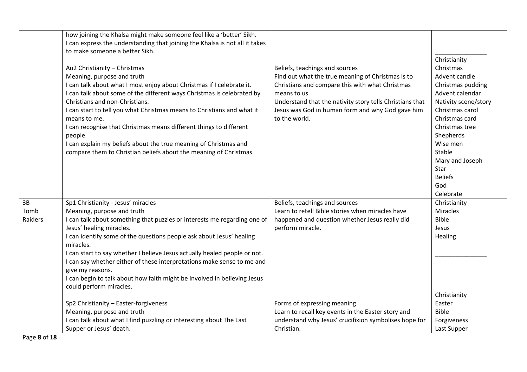|         | how joining the Khalsa might make someone feel like a 'better' Sikh.        |                                                          |                      |
|---------|-----------------------------------------------------------------------------|----------------------------------------------------------|----------------------|
|         | I can express the understanding that joining the Khalsa is not all it takes |                                                          |                      |
|         | to make someone a better Sikh.                                              |                                                          |                      |
|         |                                                                             |                                                          | Christianity         |
|         | Au2 Christianity - Christmas                                                | Beliefs, teachings and sources                           | Christmas            |
|         | Meaning, purpose and truth                                                  | Find out what the true meaning of Christmas is to        | Advent candle        |
|         | I can talk about what I most enjoy about Christmas if I celebrate it.       | Christians and compare this with what Christmas          | Christmas pudding    |
|         | I can talk about some of the different ways Christmas is celebrated by      | means to us.                                             | Advent calendar      |
|         | Christians and non-Christians.                                              | Understand that the nativity story tells Christians that | Nativity scene/story |
|         | I can start to tell you what Christmas means to Christians and what it      | Jesus was God in human form and why God gave him         | Christmas carol      |
|         | means to me.                                                                | to the world.                                            | Christmas card       |
|         | I can recognise that Christmas means different things to different          |                                                          | Christmas tree       |
|         | people.                                                                     |                                                          | Shepherds            |
|         | I can explain my beliefs about the true meaning of Christmas and            |                                                          | Wise men             |
|         | compare them to Christian beliefs about the meaning of Christmas.           |                                                          | Stable               |
|         |                                                                             |                                                          | Mary and Joseph      |
|         |                                                                             |                                                          | Star                 |
|         |                                                                             |                                                          | <b>Beliefs</b>       |
|         |                                                                             |                                                          | God                  |
|         |                                                                             |                                                          | Celebrate            |
| 3B      | Sp1 Christianity - Jesus' miracles                                          | Beliefs, teachings and sources                           | Christianity         |
| Tomb    | Meaning, purpose and truth                                                  | Learn to retell Bible stories when miracles have         | <b>Miracles</b>      |
| Raiders | I can talk about something that puzzles or interests me regarding one of    | happened and question whether Jesus really did           | <b>Bible</b>         |
|         | Jesus' healing miracles.                                                    | perform miracle.                                         | Jesus                |
|         | I can identify some of the questions people ask about Jesus' healing        |                                                          | Healing              |
|         | miracles.                                                                   |                                                          |                      |
|         | I can start to say whether I believe Jesus actually healed people or not.   |                                                          |                      |
|         | I can say whether either of these interpretations make sense to me and      |                                                          |                      |
|         | give my reasons.                                                            |                                                          |                      |
|         | I can begin to talk about how faith might be involved in believing Jesus    |                                                          |                      |
|         | could perform miracles.                                                     |                                                          |                      |
|         |                                                                             |                                                          | Christianity         |
|         | Sp2 Christianity - Easter-forgiveness                                       | Forms of expressing meaning                              | Easter               |
|         | Meaning, purpose and truth                                                  | Learn to recall key events in the Easter story and       | <b>Bible</b>         |
|         | I can talk about what I find puzzling or interesting about The Last         | understand why Jesus' crucifixion symbolises hope for    | Forgiveness          |
|         | Supper or Jesus' death.                                                     | Christian.                                               | Last Supper          |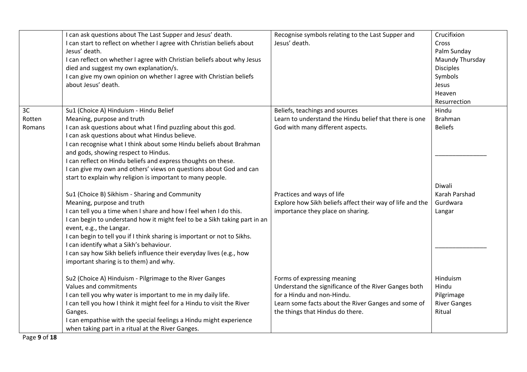|        | I can ask questions about The Last Supper and Jesus' death.<br>I can start to reflect on whether I agree with Christian beliefs about<br>Jesus' death.<br>I can reflect on whether I agree with Christian beliefs about why Jesus<br>died and suggest my own explanation/s.<br>I can give my own opinion on whether I agree with Christian beliefs<br>about Jesus' death.                                                            | Recognise symbols relating to the Last Supper and<br>Jesus' death. | Crucifixion<br>Cross<br>Palm Sunday<br>Maundy Thursday<br><b>Disciples</b><br>Symbols<br>Jesus<br>Heaven<br>Resurrection |
|--------|--------------------------------------------------------------------------------------------------------------------------------------------------------------------------------------------------------------------------------------------------------------------------------------------------------------------------------------------------------------------------------------------------------------------------------------|--------------------------------------------------------------------|--------------------------------------------------------------------------------------------------------------------------|
| 3C     | Su1 (Choice A) Hinduism - Hindu Belief                                                                                                                                                                                                                                                                                                                                                                                               | Beliefs, teachings and sources                                     | Hindu                                                                                                                    |
| Rotten | Meaning, purpose and truth                                                                                                                                                                                                                                                                                                                                                                                                           | Learn to understand the Hindu belief that there is one             | <b>Brahman</b>                                                                                                           |
| Romans | I can ask questions about what I find puzzling about this god.<br>I can ask questions about what Hindus believe.<br>I can recognise what I think about some Hindu beliefs about Brahman<br>and gods, showing respect to Hindus.<br>I can reflect on Hindu beliefs and express thoughts on these.<br>I can give my own and others' views on questions about God and can<br>start to explain why religion is important to many people. | God with many different aspects.                                   | <b>Beliefs</b><br>Diwali                                                                                                 |
|        | Su1 (Choice B) Sikhism - Sharing and Community                                                                                                                                                                                                                                                                                                                                                                                       | Practices and ways of life                                         | Karah Parshad                                                                                                            |
|        | Meaning, purpose and truth                                                                                                                                                                                                                                                                                                                                                                                                           | Explore how Sikh beliefs affect their way of life and the          | Gurdwara                                                                                                                 |
|        | I can tell you a time when I share and how I feel when I do this.<br>I can begin to understand how it might feel to be a Sikh taking part in an<br>event, e.g., the Langar.<br>I can begin to tell you if I think sharing is important or not to Sikhs.<br>I can identify what a Sikh's behaviour.<br>I can say how Sikh beliefs influence their everyday lives (e.g., how<br>important sharing is to them) and why.                 | importance they place on sharing.                                  | Langar                                                                                                                   |
|        | Su2 (Choice A) Hinduism - Pilgrimage to the River Ganges                                                                                                                                                                                                                                                                                                                                                                             | Forms of expressing meaning                                        | Hinduism                                                                                                                 |
|        | Values and commitments                                                                                                                                                                                                                                                                                                                                                                                                               | Understand the significance of the River Ganges both               | Hindu                                                                                                                    |
|        | I can tell you why water is important to me in my daily life.                                                                                                                                                                                                                                                                                                                                                                        | for a Hindu and non-Hindu.                                         | Pilgrimage                                                                                                               |
|        | I can tell you how I think it might feel for a Hindu to visit the River                                                                                                                                                                                                                                                                                                                                                              | Learn some facts about the River Ganges and some of                | <b>River Ganges</b>                                                                                                      |
|        | Ganges.                                                                                                                                                                                                                                                                                                                                                                                                                              | the things that Hindus do there.                                   | Ritual                                                                                                                   |
|        | I can empathise with the special feelings a Hindu might experience<br>when taking part in a ritual at the River Ganges.                                                                                                                                                                                                                                                                                                              |                                                                    |                                                                                                                          |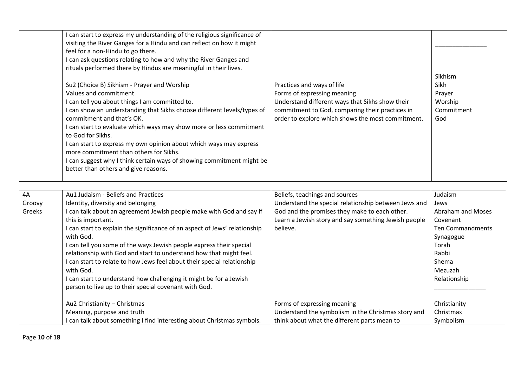| I can start to express my understanding of the religious significance of<br>visiting the River Ganges for a Hindu and can reflect on how it might<br>feel for a non-Hindu to go there.<br>I can ask questions relating to how and why the River Ganges and<br>rituals performed there by Hindus are meaningful in their lives.<br>Su2 (Choice B) Sikhism - Prayer and Worship<br>Values and commitment<br>I can tell you about things I am committed to.<br>I can show an understanding that Sikhs choose different levels/types of<br>commitment and that's OK.<br>I can start to evaluate which ways may show more or less commitment<br>to God for Sikhs.<br>I can start to express my own opinion about which ways may express<br>more commitment than others for Sikhs.<br>I can suggest why I think certain ways of showing commitment might be<br>better than others and give reasons. | Practices and ways of life<br>Forms of expressing meaning<br>Understand different ways that Sikhs show their<br>commitment to God, comparing their practices in<br>order to explore which shows the most commitment. | Sikhism<br>Sikh<br>Prayer<br>Worship<br>Commitment<br>God |
|-----------------------------------------------------------------------------------------------------------------------------------------------------------------------------------------------------------------------------------------------------------------------------------------------------------------------------------------------------------------------------------------------------------------------------------------------------------------------------------------------------------------------------------------------------------------------------------------------------------------------------------------------------------------------------------------------------------------------------------------------------------------------------------------------------------------------------------------------------------------------------------------------|----------------------------------------------------------------------------------------------------------------------------------------------------------------------------------------------------------------------|-----------------------------------------------------------|
|-----------------------------------------------------------------------------------------------------------------------------------------------------------------------------------------------------------------------------------------------------------------------------------------------------------------------------------------------------------------------------------------------------------------------------------------------------------------------------------------------------------------------------------------------------------------------------------------------------------------------------------------------------------------------------------------------------------------------------------------------------------------------------------------------------------------------------------------------------------------------------------------------|----------------------------------------------------------------------------------------------------------------------------------------------------------------------------------------------------------------------|-----------------------------------------------------------|

| 4A     | Au1 Judaism - Beliefs and Practices                                        | Beliefs, teachings and sources                       | Judaism           |
|--------|----------------------------------------------------------------------------|------------------------------------------------------|-------------------|
| Groovy | Identity, diversity and belonging                                          | Understand the special relationship between Jews and | Jews              |
| Greeks | I can talk about an agreement Jewish people make with God and say if       | God and the promises they make to each other.        | Abraham and Moses |
|        | this is important.                                                         | Learn a Jewish story and say something Jewish people | Covenant          |
|        | I can start to explain the significance of an aspect of Jews' relationship | believe.                                             | Ten Commandments  |
|        | with God.                                                                  |                                                      | Synagogue         |
|        | I can tell you some of the ways Jewish people express their special        |                                                      | Torah             |
|        | relationship with God and start to understand how that might feel.         |                                                      | Rabbi             |
|        | I can start to relate to how Jews feel about their special relationship    |                                                      | Shema             |
|        | with God.                                                                  |                                                      | Mezuzah           |
|        | I can start to understand how challenging it might be for a Jewish         |                                                      | Relationship      |
|        | person to live up to their special covenant with God.                      |                                                      |                   |
|        |                                                                            |                                                      |                   |
|        | Au2 Christianity - Christmas                                               | Forms of expressing meaning                          | Christianity      |
|        | Meaning, purpose and truth                                                 | Understand the symbolism in the Christmas story and  | Christmas         |
|        | I can talk about something I find interesting about Christmas symbols.     | think about what the different parts mean to         | Symbolism         |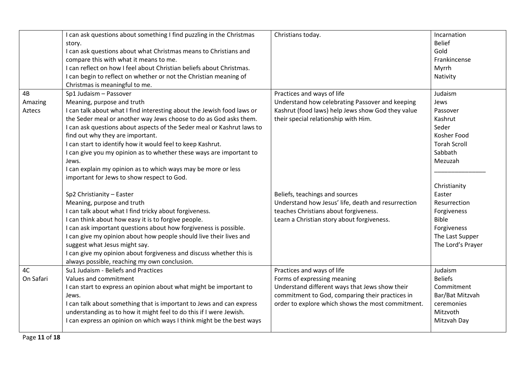|           | I can ask questions about something I find puzzling in the Christmas<br>story.<br>I can ask questions about what Christmas means to Christians and<br>compare this with what it means to me.<br>I can reflect on how I feel about Christian beliefs about Christmas.<br>I can begin to reflect on whether or not the Christian meaning of<br>Christmas is meaningful to me. | Christians today.                                  | Incarnation<br><b>Belief</b><br>Gold<br>Frankincense<br>Myrrh<br>Nativity |
|-----------|-----------------------------------------------------------------------------------------------------------------------------------------------------------------------------------------------------------------------------------------------------------------------------------------------------------------------------------------------------------------------------|----------------------------------------------------|---------------------------------------------------------------------------|
| 4B        | Sp1 Judaism - Passover                                                                                                                                                                                                                                                                                                                                                      | Practices and ways of life                         | Judaism                                                                   |
| Amazing   | Meaning, purpose and truth                                                                                                                                                                                                                                                                                                                                                  | Understand how celebrating Passover and keeping    | Jews                                                                      |
| Aztecs    | I can talk about what I find interesting about the Jewish food laws or                                                                                                                                                                                                                                                                                                      | Kashrut (food laws) help Jews show God they value  | Passover                                                                  |
|           | the Seder meal or another way Jews choose to do as God asks them.                                                                                                                                                                                                                                                                                                           | their special relationship with Him.               | Kashrut                                                                   |
|           | I can ask questions about aspects of the Seder meal or Kashrut laws to                                                                                                                                                                                                                                                                                                      |                                                    | Seder                                                                     |
|           | find out why they are important.                                                                                                                                                                                                                                                                                                                                            |                                                    | Kosher Food                                                               |
|           | I can start to identify how it would feel to keep Kashrut.                                                                                                                                                                                                                                                                                                                  |                                                    | <b>Torah Scroll</b>                                                       |
|           | I can give you my opinion as to whether these ways are important to                                                                                                                                                                                                                                                                                                         |                                                    | Sabbath                                                                   |
|           | Jews.                                                                                                                                                                                                                                                                                                                                                                       |                                                    | Mezuzah                                                                   |
|           | I can explain my opinion as to which ways may be more or less<br>important for Jews to show respect to God.                                                                                                                                                                                                                                                                 |                                                    |                                                                           |
|           |                                                                                                                                                                                                                                                                                                                                                                             |                                                    | Christianity                                                              |
|           | Sp2 Christianity - Easter                                                                                                                                                                                                                                                                                                                                                   | Beliefs, teachings and sources                     | Easter                                                                    |
|           | Meaning, purpose and truth                                                                                                                                                                                                                                                                                                                                                  | Understand how Jesus' life, death and resurrection | Resurrection                                                              |
|           | I can talk about what I find tricky about forgiveness.                                                                                                                                                                                                                                                                                                                      | teaches Christians about forgiveness.              | Forgiveness                                                               |
|           | I can think about how easy it is to forgive people.                                                                                                                                                                                                                                                                                                                         | Learn a Christian story about forgiveness.         | <b>Bible</b>                                                              |
|           | I can ask important questions about how forgiveness is possible.                                                                                                                                                                                                                                                                                                            |                                                    | Forgiveness                                                               |
|           | I can give my opinion about how people should live their lives and                                                                                                                                                                                                                                                                                                          |                                                    | The Last Supper                                                           |
|           | suggest what Jesus might say.                                                                                                                                                                                                                                                                                                                                               |                                                    | The Lord's Prayer                                                         |
|           | I can give my opinion about forgiveness and discuss whether this is                                                                                                                                                                                                                                                                                                         |                                                    |                                                                           |
|           | always possible, reaching my own conclusion.                                                                                                                                                                                                                                                                                                                                |                                                    |                                                                           |
| 4C        | Su1 Judaism - Beliefs and Practices                                                                                                                                                                                                                                                                                                                                         | Practices and ways of life                         | Judaism                                                                   |
| On Safari | Values and commitment                                                                                                                                                                                                                                                                                                                                                       | Forms of expressing meaning                        | <b>Beliefs</b>                                                            |
|           | I can start to express an opinion about what might be important to                                                                                                                                                                                                                                                                                                          | Understand different ways that Jews show their     | Commitment                                                                |
|           | Jews.                                                                                                                                                                                                                                                                                                                                                                       | commitment to God, comparing their practices in    | Bar/Bat Mitzvah                                                           |
|           | I can talk about something that is important to Jews and can express                                                                                                                                                                                                                                                                                                        | order to explore which shows the most commitment.  | ceremonies                                                                |
|           | understanding as to how it might feel to do this if I were Jewish.                                                                                                                                                                                                                                                                                                          |                                                    | Mitzvoth                                                                  |
|           | I can express an opinion on which ways I think might be the best ways                                                                                                                                                                                                                                                                                                       |                                                    | Mitzvah Day                                                               |
|           |                                                                                                                                                                                                                                                                                                                                                                             |                                                    |                                                                           |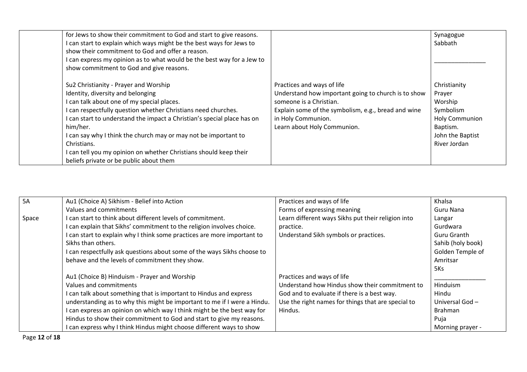| for Jews to show their commitment to God and start to give reasons.<br>I can start to explain which ways might be the best ways for Jews to                                                                                                                                                                                                                                                                                                                                        |                                                                                                                                                                                                                          | Synagogue<br>Sabbath                                                                                                    |
|------------------------------------------------------------------------------------------------------------------------------------------------------------------------------------------------------------------------------------------------------------------------------------------------------------------------------------------------------------------------------------------------------------------------------------------------------------------------------------|--------------------------------------------------------------------------------------------------------------------------------------------------------------------------------------------------------------------------|-------------------------------------------------------------------------------------------------------------------------|
| show their commitment to God and offer a reason.<br>I can express my opinion as to what would be the best way for a Jew to<br>show commitment to God and give reasons.                                                                                                                                                                                                                                                                                                             |                                                                                                                                                                                                                          |                                                                                                                         |
| Su2 Christianity - Prayer and Worship<br>Identity, diversity and belonging<br>I can talk about one of my special places.<br>I can respectfully question whether Christians need churches.<br>I can start to understand the impact a Christian's special place has on<br>him/her.<br>I can say why I think the church may or may not be important to<br>Christians.<br>I can tell you my opinion on whether Christians should keep their<br>beliefs private or be public about them | Practices and ways of life<br>Understand how important going to church is to show<br>someone is a Christian.<br>Explain some of the symbolism, e.g., bread and wine<br>in Holy Communion.<br>Learn about Holy Communion. | Christianity<br>Prayer<br>Worship<br>Symbolism<br><b>Holy Communion</b><br>Baptism.<br>John the Baptist<br>River Jordan |

| <b>5A</b> | Au1 (Choice A) Sikhism - Belief into Action                              | Practices and ways of life                         | Khalsa            |
|-----------|--------------------------------------------------------------------------|----------------------------------------------------|-------------------|
|           | Values and commitments                                                   | Forms of expressing meaning                        | Guru Nana         |
| Space     | I can start to think about different levels of commitment.               | Learn different ways Sikhs put their religion into | Langar            |
|           | can explain that Sikhs' commitment to the religion involves choice.      | practice.                                          | Gurdwara          |
|           | can start to explain why I think some practices are more important to    | Understand Sikh symbols or practices.              | Guru Granth       |
|           | Sikhs than others.                                                       |                                                    | Sahib (holy book) |
|           | can respectfully ask questions about some of the ways Sikhs choose to    |                                                    | Golden Temple of  |
|           | behave and the levels of commitment they show.                           |                                                    | Amritsar          |
|           |                                                                          |                                                    | 5Ks               |
|           | Au1 (Choice B) Hinduism - Prayer and Worship                             | Practices and ways of life                         |                   |
|           | Values and commitments                                                   | Understand how Hindus show their commitment to     | Hinduism          |
|           | can talk about something that is important to Hindus and express         | God and to evaluate if there is a best way.        | Hindu             |
|           | understanding as to why this might be important to me if I were a Hindu. | Use the right names for things that are special to | Universal God -   |
|           | can express an opinion on which way I think might be the best way for    | Hindus.                                            | <b>Brahman</b>    |
|           | Hindus to show their commitment to God and start to give my reasons.     |                                                    | Puja              |
|           | I can express why I think Hindus might choose different ways to show     |                                                    | Morning prayer -  |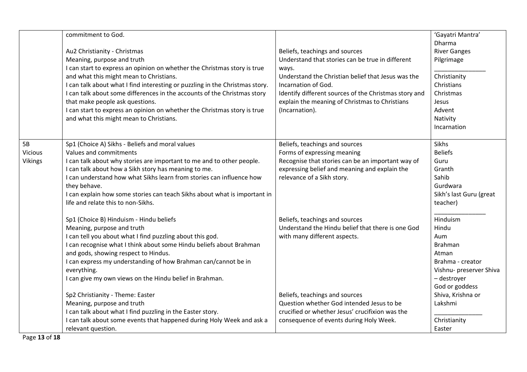|                                        | commitment to God.<br>Au2 Christianity - Christmas<br>Meaning, purpose and truth<br>I can start to express an opinion on whether the Christmas story is true<br>and what this might mean to Christians.<br>I can talk about what I find interesting or puzzling in the Christmas story.<br>I can talk about some differences in the accounts of the Christmas story<br>that make people ask questions.<br>I can start to express an opinion on whether the Christmas story is true<br>and what this might mean to Christians. | Beliefs, teachings and sources<br>Understand that stories can be true in different<br>ways.<br>Understand the Christian belief that Jesus was the<br>Incarnation of God.<br>Identify different sources of the Christmas story and<br>explain the meaning of Christmas to Christians<br>(Incarnation). | 'Gayatri Mantra'<br>Dharma<br><b>River Ganges</b><br>Pilgrimage<br>Christianity<br>Christians<br>Christmas<br>Jesus<br>Advent<br>Nativity<br>Incarnation |
|----------------------------------------|-------------------------------------------------------------------------------------------------------------------------------------------------------------------------------------------------------------------------------------------------------------------------------------------------------------------------------------------------------------------------------------------------------------------------------------------------------------------------------------------------------------------------------|-------------------------------------------------------------------------------------------------------------------------------------------------------------------------------------------------------------------------------------------------------------------------------------------------------|----------------------------------------------------------------------------------------------------------------------------------------------------------|
| 5B<br><b>Vicious</b><br><b>Vikings</b> | Sp1 (Choice A) Sikhs - Beliefs and moral values<br>Values and commitments<br>I can talk about why stories are important to me and to other people.<br>I can talk about how a Sikh story has meaning to me.<br>I can understand how what Sikhs learn from stories can influence how<br>they behave.<br>I can explain how some stories can teach Sikhs about what is important in<br>life and relate this to non-Sikhs.                                                                                                         | Beliefs, teachings and sources<br>Forms of expressing meaning<br>Recognise that stories can be an important way of<br>expressing belief and meaning and explain the<br>relevance of a Sikh story.                                                                                                     | Sikhs<br><b>Beliefs</b><br>Guru<br>Granth<br>Sahib<br>Gurdwara<br>Sikh's last Guru (great<br>teacher)                                                    |
|                                        | Sp1 (Choice B) Hinduism - Hindu beliefs<br>Meaning, purpose and truth<br>I can tell you about what I find puzzling about this god.<br>I can recognise what I think about some Hindu beliefs about Brahman<br>and gods, showing respect to Hindus.<br>I can express my understanding of how Brahman can/cannot be in<br>everything.<br>I can give my own views on the Hindu belief in Brahman.<br>Sp2 Christianity - Theme: Easter                                                                                             | Beliefs, teachings and sources<br>Understand the Hindu belief that there is one God<br>with many different aspects.<br>Beliefs, teachings and sources                                                                                                                                                 | Hinduism<br>Hindu<br>Aum<br><b>Brahman</b><br>Atman<br>Brahma - creator<br>Vishnu- preserver Shiva<br>- destroyer<br>God or goddess<br>Shiva, Krishna or |
|                                        | Meaning, purpose and truth<br>I can talk about what I find puzzling in the Easter story.<br>I can talk about some events that happened during Holy Week and ask a<br>relevant question.                                                                                                                                                                                                                                                                                                                                       | Question whether God intended Jesus to be<br>crucified or whether Jesus' crucifixion was the<br>consequence of events during Holy Week.                                                                                                                                                               | Lakshmi<br>Christianity<br>Easter                                                                                                                        |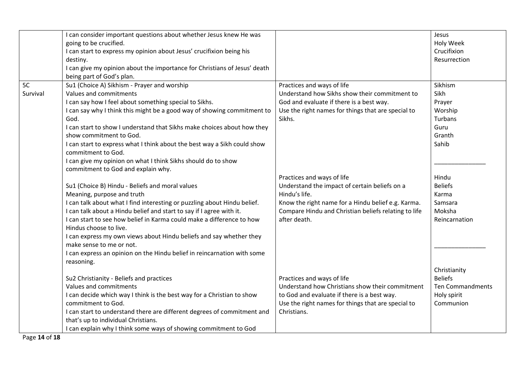|          | I can consider important questions about whether Jesus knew He was        |                                                      | Jesus                   |
|----------|---------------------------------------------------------------------------|------------------------------------------------------|-------------------------|
|          | going to be crucified.                                                    |                                                      | Holy Week               |
|          | I can start to express my opinion about Jesus' crucifixion being his      |                                                      | Crucifixion             |
|          | destiny.                                                                  |                                                      | Resurrection            |
|          | I can give my opinion about the importance for Christians of Jesus' death |                                                      |                         |
|          | being part of God's plan.                                                 |                                                      |                         |
| 5C       | Su1 (Choice A) Sikhism - Prayer and worship                               | Practices and ways of life                           | Sikhism                 |
| Survival | Values and commitments                                                    | Understand how Sikhs show their commitment to        | Sikh                    |
|          | I can say how I feel about something special to Sikhs.                    | God and evaluate if there is a best way.             | Prayer                  |
|          | I can say why I think this might be a good way of showing commitment to   | Use the right names for things that are special to   | Worship                 |
|          | God.                                                                      | Sikhs.                                               | Turbans                 |
|          | I can start to show I understand that Sikhs make choices about how they   |                                                      | Guru                    |
|          | show commitment to God.                                                   |                                                      | Granth                  |
|          | I can start to express what I think about the best way a Sikh could show  |                                                      | Sahib                   |
|          | commitment to God.                                                        |                                                      |                         |
|          | I can give my opinion on what I think Sikhs should do to show             |                                                      |                         |
|          | commitment to God and explain why.                                        |                                                      |                         |
|          |                                                                           | Practices and ways of life                           | Hindu                   |
|          | Su1 (Choice B) Hindu - Beliefs and moral values                           | Understand the impact of certain beliefs on a        | <b>Beliefs</b>          |
|          | Meaning, purpose and truth                                                | Hindu's life.                                        | Karma                   |
|          | I can talk about what I find interesting or puzzling about Hindu belief.  | Know the right name for a Hindu belief e.g. Karma.   | Samsara                 |
|          | I can talk about a Hindu belief and start to say if I agree with it.      | Compare Hindu and Christian beliefs relating to life | Moksha                  |
|          | I can start to see how belief in Karma could make a difference to how     | after death.                                         | Reincarnation           |
|          | Hindus choose to live.                                                    |                                                      |                         |
|          | I can express my own views about Hindu beliefs and say whether they       |                                                      |                         |
|          | make sense to me or not.                                                  |                                                      |                         |
|          | I can express an opinion on the Hindu belief in reincarnation with some   |                                                      |                         |
|          | reasoning.                                                                |                                                      |                         |
|          |                                                                           |                                                      | Christianity            |
|          | Su2 Christianity - Beliefs and practices                                  | Practices and ways of life                           | <b>Beliefs</b>          |
|          | Values and commitments                                                    | Understand how Christians show their commitment      | <b>Ten Commandments</b> |
|          | I can decide which way I think is the best way for a Christian to show    | to God and evaluate if there is a best way.          | Holy spirit             |
|          | commitment to God.                                                        | Use the right names for things that are special to   | Communion               |
|          | I can start to understand there are different degrees of commitment and   | Christians.                                          |                         |
|          | that's up to individual Christians.                                       |                                                      |                         |
|          | I can explain why I think some ways of showing commitment to God          |                                                      |                         |

Page **14** of **18**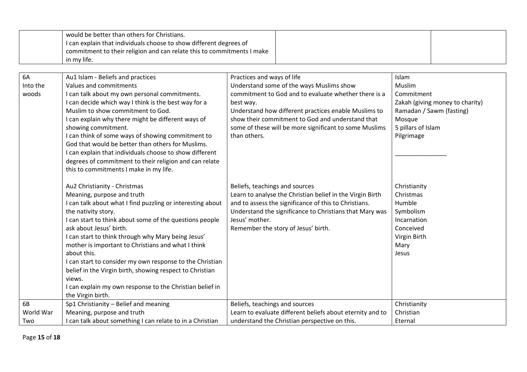|           | would be better than others for Christians.                            |                                                           |                                 |
|-----------|------------------------------------------------------------------------|-----------------------------------------------------------|---------------------------------|
|           | I can explain that individuals choose to show different degrees of     |                                                           |                                 |
|           | commitment to their religion and can relate this to commitments I make |                                                           |                                 |
|           | in my life.                                                            |                                                           |                                 |
|           |                                                                        |                                                           |                                 |
| 6A        | Au1 Islam - Beliefs and practices                                      | Practices and ways of life                                | Islam                           |
| Into the  | Values and commitments                                                 | Understand some of the ways Muslims show                  | Muslim                          |
| woods     | I can talk about my own personal commitments.                          | commitment to God and to evaluate whether there is a      | Commitment                      |
|           | I can decide which way I think is the best way for a                   | best way.                                                 | Zakah (giving money to charity) |
|           | Muslim to show commitment to God.                                      | Understand how different practices enable Muslims to      | Ramadan / Sawm (fasting)        |
|           | I can explain why there might be different ways of                     | show their commitment to God and understand that          | Mosque                          |
|           | showing commitment.                                                    | some of these will be more significant to some Muslims    | 5 pillars of Islam              |
|           | I can think of some ways of showing commitment to                      | than others.                                              | Pilgrimage                      |
|           | God that would be better than others for Muslims.                      |                                                           |                                 |
|           | I can explain that individuals choose to show different                |                                                           |                                 |
|           | degrees of commitment to their religion and can relate                 |                                                           |                                 |
|           | this to commitments I make in my life.                                 |                                                           |                                 |
|           |                                                                        |                                                           |                                 |
|           | Au2 Christianity - Christmas                                           | Beliefs, teachings and sources                            | Christianity                    |
|           | Meaning, purpose and truth                                             | Learn to analyse the Christian belief in the Virgin Birth | Christmas                       |
|           | I can talk about what I find puzzling or interesting about             | and to assess the significance of this to Christians.     | Humble                          |
|           | the nativity story.                                                    | Understand the significance to Christians that Mary was   | Symbolism                       |
|           | I can start to think about some of the questions people                | Jesus' mother.                                            | Incarnation                     |
|           | ask about Jesus' birth.                                                | Remember the story of Jesus' birth.                       | Conceived                       |
|           | I can start to think through why Mary being Jesus'                     |                                                           | Virgin Birth                    |
|           | mother is important to Christians and what I think                     |                                                           | Mary                            |
|           | about this.                                                            |                                                           | Jesus                           |
|           | I can start to consider my own response to the Christian               |                                                           |                                 |
|           | belief in the Virgin birth, showing respect to Christian               |                                                           |                                 |
|           | views.                                                                 |                                                           |                                 |
|           | I can explain my own response to the Christian belief in               |                                                           |                                 |
|           | the Virgin birth.                                                      |                                                           |                                 |
| 6B        | Sp1 Christianity - Belief and meaning                                  | Beliefs, teachings and sources                            | Christianity                    |
| World War | Meaning, purpose and truth                                             | Learn to evaluate different beliefs about eternity and to | Christian                       |
| Two       | I can talk about something I can relate to in a Christian              | understand the Christian perspective on this.             | Eternal                         |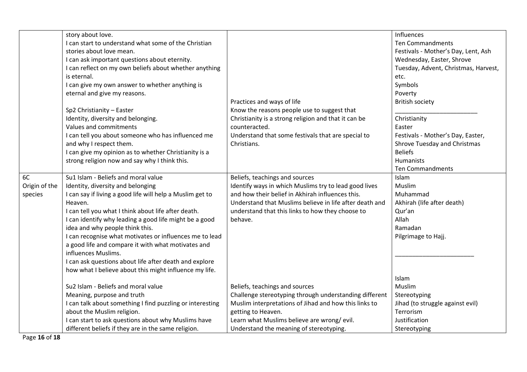|               |                                                           |                                                         | Influences                           |
|---------------|-----------------------------------------------------------|---------------------------------------------------------|--------------------------------------|
|               | story about love.                                         |                                                         |                                      |
|               | I can start to understand what some of the Christian      |                                                         | <b>Ten Commandments</b>              |
|               | stories about love mean.                                  |                                                         | Festivals - Mother's Day, Lent, Ash  |
|               | I can ask important questions about eternity.             |                                                         | Wednesday, Easter, Shrove            |
|               | I can reflect on my own beliefs about whether anything    |                                                         | Tuesday, Advent, Christmas, Harvest, |
|               | is eternal.                                               |                                                         | etc.                                 |
|               | I can give my own answer to whether anything is           |                                                         | Symbols                              |
|               | eternal and give my reasons.                              |                                                         | Poverty                              |
|               |                                                           | Practices and ways of life                              | <b>British society</b>               |
|               | Sp2 Christianity - Easter                                 | Know the reasons people use to suggest that             |                                      |
|               | Identity, diversity and belonging.                        | Christianity is a strong religion and that it can be    | Christianity                         |
|               | Values and commitments                                    | counteracted.                                           | Easter                               |
|               | I can tell you about someone who has influenced me        | Understand that some festivals that are special to      | Festivals - Mother's Day, Easter,    |
|               | and why I respect them.                                   | Christians.                                             | Shrove Tuesday and Christmas         |
|               | I can give my opinion as to whether Christianity is a     |                                                         | <b>Beliefs</b>                       |
|               | strong religion now and say why I think this.             |                                                         | Humanists                            |
|               |                                                           |                                                         | <b>Ten Commandments</b>              |
| 6C            | Su1 Islam - Beliefs and moral value                       | Beliefs, teachings and sources                          | Islam                                |
| Origin of the | Identity, diversity and belonging                         | Identify ways in which Muslims try to lead good lives   | Muslim                               |
| species       | I can say if living a good life will help a Muslim get to | and how their belief in Akhirah influences this.        | Muhammad                             |
|               | Heaven.                                                   | Understand that Muslims believe in life after death and | Akhirah (life after death)           |
|               | I can tell you what I think about life after death.       | understand that this links to how they choose to        | Qur'an                               |
|               | I can identify why leading a good life might be a good    | behave.                                                 | Allah                                |
|               | idea and why people think this.                           |                                                         | Ramadan                              |
|               | I can recognise what motivates or influences me to lead   |                                                         | Pilgrimage to Hajj.                  |
|               | a good life and compare it with what motivates and        |                                                         |                                      |
|               | influences Muslims.                                       |                                                         |                                      |
|               | I can ask questions about life after death and explore    |                                                         |                                      |
|               | how what I believe about this might influence my life.    |                                                         |                                      |
|               |                                                           |                                                         | Islam                                |
|               | Su2 Islam - Beliefs and moral value                       | Beliefs, teachings and sources                          | Muslim                               |
|               | Meaning, purpose and truth                                | Challenge stereotyping through understanding different  | Stereotyping                         |
|               | I can talk about something I find puzzling or interesting | Muslim interpretations of Jihad and how this links to   | Jihad (to struggle against evil)     |
|               | about the Muslim religion.                                | getting to Heaven.                                      | Terrorism                            |
|               | I can start to ask questions about why Muslims have       | Learn what Muslims believe are wrong/evil.              | Justification                        |
|               | different beliefs if they are in the same religion.       | Understand the meaning of stereotyping.                 |                                      |
|               |                                                           |                                                         | Stereotyping                         |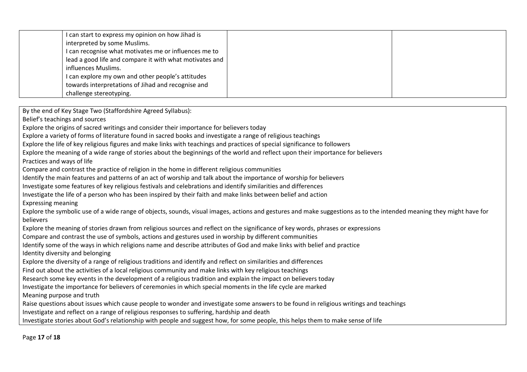| I can start to express my opinion on how Jihad is       |  |
|---------------------------------------------------------|--|
| interpreted by some Muslims.                            |  |
| I can recognise what motivates me or influences me to   |  |
| lead a good life and compare it with what motivates and |  |
| influences Muslims.                                     |  |
| I can explore my own and other people's attitudes       |  |
| towards interpretations of Jihad and recognise and      |  |
| challenge stereotyping.                                 |  |

By the end of Key Stage Two (Staffordshire Agreed Syllabus):

Belief's teachings and sources

Explore the origins of sacred writings and consider their importance for believers today

Explore a variety of forms of literature found in sacred books and investigate a range of religious teachings

Explore the life of key religious figures and make links with teachings and practices of special significance to followers

Explore the meaning of a wide range of stories about the beginnings of the world and reflect upon their importance for believers

Practices and ways of life

Compare and contrast the practice of religion in the home in different religious communities

Identify the main features and patterns of an act of worship and talk about the importance of worship for believers

Investigate some features of key religious festivals and celebrations and identify similarities and differences

Investigate the life of a person who has been inspired by their faith and make links between belief and action

Expressing meaning

Explore the symbolic use of a wide range of objects, sounds, visual images, actions and gestures and make suggestions as to the intended meaning they might have for believers

Explore the meaning of stories drawn from religious sources and reflect on the significance of key words, phrases or expressions

Compare and contrast the use of symbols, actions and gestures used in worship by different communities

Identify some of the ways in which religions name and describe attributes of God and make links with belief and practice

Identity diversity and belonging

Explore the diversity of a range of religious traditions and identify and reflect on similarities and differences

Find out about the activities of a local religious community and make links with key religious teachings

Research some key events in the development of a religious tradition and explain the impact on believers today

Investigate the importance for believers of ceremonies in which special moments in the life cycle are marked

Meaning purpose and truth

Raise questions about issues which cause people to wonder and investigate some answers to be found in religious writings and teachings Investigate and reflect on a range of religious responses to suffering, hardship and death

Investigate stories about God's relationship with people and suggest how, for some people, this helps them to make sense of life